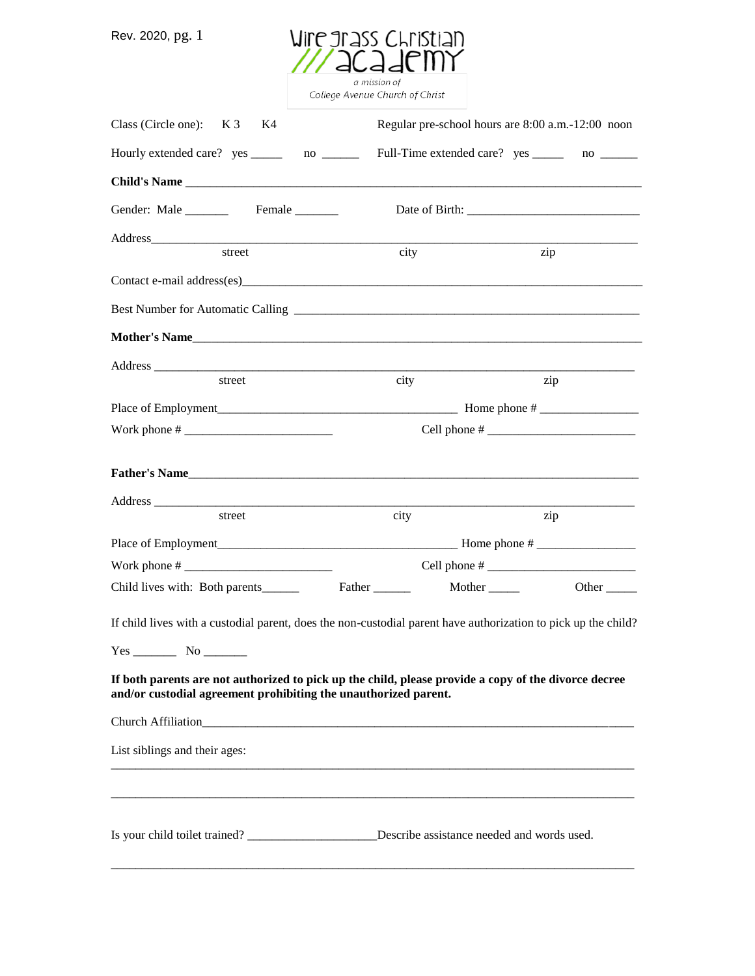Rev. 2020, pg. 1



College Avenue Church of Christ

| Class (Circle one): $K3$<br>K4                                                                                                                                          |                                                                                               | Regular pre-school hours are 8:00 a.m.-12:00 noon |  |
|-------------------------------------------------------------------------------------------------------------------------------------------------------------------------|-----------------------------------------------------------------------------------------------|---------------------------------------------------|--|
| Hourly extended care? yes ________ no ________                                                                                                                          |                                                                                               | Full-Time extended care? yes ________ no _______  |  |
|                                                                                                                                                                         |                                                                                               |                                                   |  |
|                                                                                                                                                                         |                                                                                               |                                                   |  |
|                                                                                                                                                                         |                                                                                               |                                                   |  |
| street                                                                                                                                                                  | city                                                                                          | zip                                               |  |
|                                                                                                                                                                         |                                                                                               |                                                   |  |
|                                                                                                                                                                         |                                                                                               |                                                   |  |
|                                                                                                                                                                         |                                                                                               |                                                   |  |
|                                                                                                                                                                         |                                                                                               |                                                   |  |
| street                                                                                                                                                                  | city                                                                                          | zip                                               |  |
|                                                                                                                                                                         |                                                                                               |                                                   |  |
|                                                                                                                                                                         |                                                                                               |                                                   |  |
|                                                                                                                                                                         |                                                                                               |                                                   |  |
|                                                                                                                                                                         |                                                                                               |                                                   |  |
| street                                                                                                                                                                  | city                                                                                          | zip                                               |  |
|                                                                                                                                                                         |                                                                                               |                                                   |  |
|                                                                                                                                                                         |                                                                                               |                                                   |  |
| Child lives with: Both parents_______                                                                                                                                   |                                                                                               | Other $\_\_$                                      |  |
| If child lives with a custodial parent, does the non-custodial parent have authorization to pick up the child?                                                          |                                                                                               |                                                   |  |
| $Yes$ No $No$                                                                                                                                                           |                                                                                               |                                                   |  |
| If both parents are not authorized to pick up the child, please provide a copy of the divorce decree<br>and/or custodial agreement prohibiting the unauthorized parent. |                                                                                               |                                                   |  |
| Church Affiliation <b>Example 20</b>                                                                                                                                    |                                                                                               |                                                   |  |
| List siblings and their ages:                                                                                                                                           |                                                                                               |                                                   |  |
|                                                                                                                                                                         |                                                                                               |                                                   |  |
|                                                                                                                                                                         | Is your child toilet trained? _____________________Describe assistance needed and words used. |                                                   |  |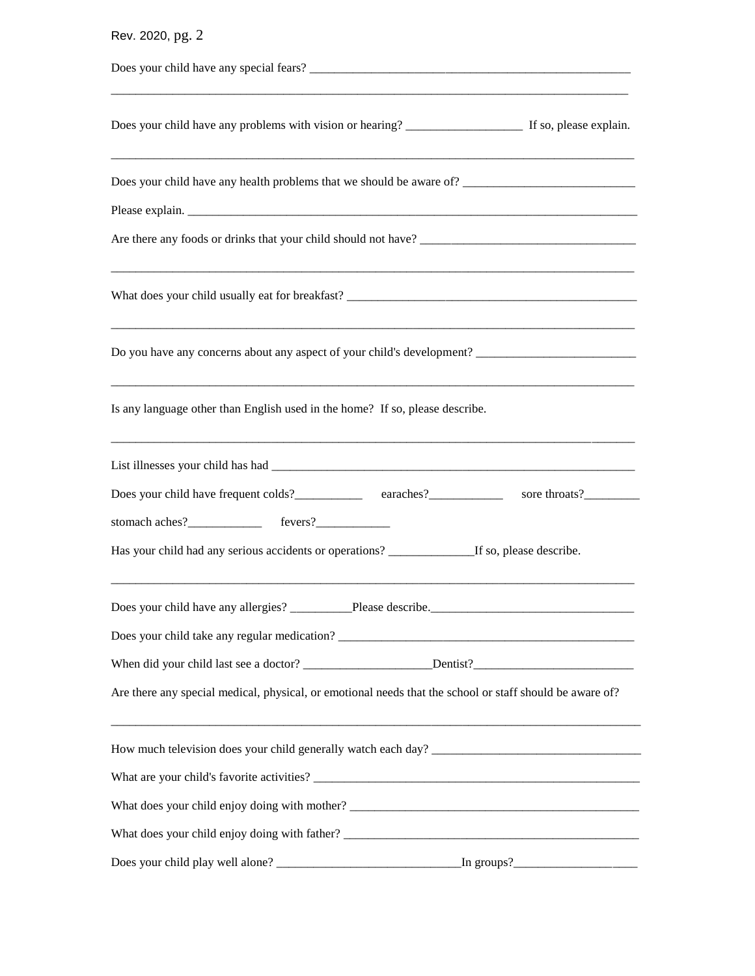| Rev. 2020, pg. 2                                                                                         |
|----------------------------------------------------------------------------------------------------------|
|                                                                                                          |
|                                                                                                          |
| Does your child have any health problems that we should be aware of?                                     |
|                                                                                                          |
|                                                                                                          |
| Do you have any concerns about any aspect of your child's development?                                   |
| Is any language other than English used in the home? If so, please describe.                             |
|                                                                                                          |
| Does your child have frequent colds?<br><u>earaches?</u> examples are throats?                           |
|                                                                                                          |
| Has your child had any serious accidents or operations? ________________If so, please describe.          |
|                                                                                                          |
| Does your child take any regular medication?                                                             |
|                                                                                                          |
| Are there any special medical, physical, or emotional needs that the school or staff should be aware of? |
| How much television does your child generally watch each day?                                            |
|                                                                                                          |
|                                                                                                          |
|                                                                                                          |
|                                                                                                          |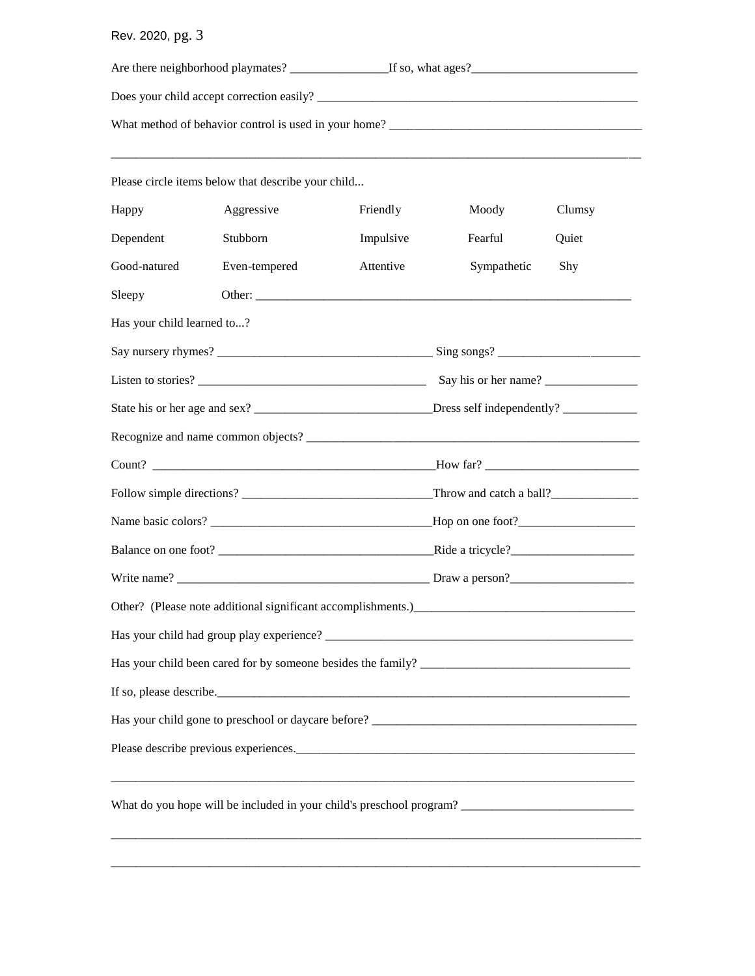## Rev. 2020, pg. 3

|                                                                                                      | Please circle items below that describe your child            |           |             |        |
|------------------------------------------------------------------------------------------------------|---------------------------------------------------------------|-----------|-------------|--------|
| Happy                                                                                                | Aggressive                                                    | Friendly  | Moody       | Clumsy |
| Dependent                                                                                            | Stubborn                                                      | Impulsive | Fearful     | Quiet  |
| Good-natured                                                                                         | Even-tempered                                                 | Attentive | Sympathetic | Shy    |
| Sleepy                                                                                               |                                                               |           |             |        |
| Has your child learned to?                                                                           |                                                               |           |             |        |
|                                                                                                      |                                                               |           |             |        |
|                                                                                                      |                                                               |           |             |        |
|                                                                                                      |                                                               |           |             |        |
|                                                                                                      |                                                               |           |             |        |
|                                                                                                      |                                                               |           |             |        |
|                                                                                                      |                                                               |           |             |        |
|                                                                                                      |                                                               |           |             |        |
|                                                                                                      |                                                               |           |             |        |
|                                                                                                      |                                                               |           |             |        |
|                                                                                                      | Other? (Please note additional significant accomplishments.)_ |           |             |        |
|                                                                                                      |                                                               |           |             |        |
|                                                                                                      |                                                               |           |             |        |
|                                                                                                      |                                                               |           |             |        |
|                                                                                                      |                                                               |           |             |        |
|                                                                                                      |                                                               |           |             |        |
| What do you hope will be included in your child's preschool program? _______________________________ |                                                               |           |             |        |

\_\_\_\_\_\_\_\_\_\_\_\_\_\_\_\_\_\_\_\_\_\_\_\_\_\_\_\_\_\_\_\_\_\_\_\_\_\_\_\_\_\_\_\_\_\_\_\_\_\_\_\_\_\_\_\_\_\_\_\_\_\_\_\_\_\_\_\_\_\_\_\_\_\_\_\_\_\_\_\_\_\_\_\_\_\_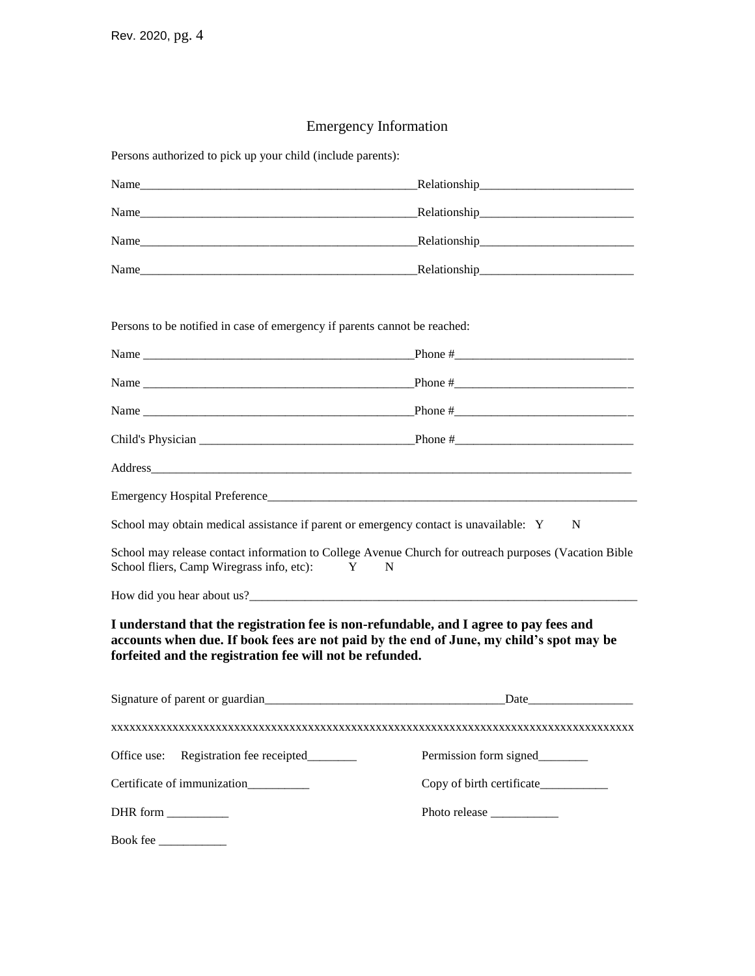## Emergency Information

Persons authorized to pick up your child (include parents):

| Name<br>and the state of the state of the state of the state of the state of the state of the state of the                    | Relationship<br><u>Relationship</u> |
|-------------------------------------------------------------------------------------------------------------------------------|-------------------------------------|
| Name                                                                                                                          |                                     |
| Name<br><u> 1989 - Johann Barbara, martin da basar da basar da basar da basar da basar da basar da basar da basar da basa</u> |                                     |
| Name                                                                                                                          |                                     |

Persons to be notified in case of emergency if parents cannot be reached:

| School may obtain medical assistance if parent or emergency contact is unavailable: Y | N                                                                                                                                                                                |
|---------------------------------------------------------------------------------------|----------------------------------------------------------------------------------------------------------------------------------------------------------------------------------|
| School fliers, Camp Wiregrass info, etc):                                             | School may release contact information to College Avenue Church for outreach purposes (Vacation Bible<br>$\mathbf{Y}$<br>N                                                       |
|                                                                                       |                                                                                                                                                                                  |
| forfeited and the registration fee will not be refunded.                              | I understand that the registration fee is non-refundable, and I agree to pay fees and<br>accounts when due. If book fees are not paid by the end of June, my child's spot may be |
|                                                                                       |                                                                                                                                                                                  |
|                                                                                       |                                                                                                                                                                                  |
| Registration fee receipted<br>Office use:                                             | Permission form signed_________                                                                                                                                                  |
| Certificate of immunization                                                           | Copy of birth certificate____________                                                                                                                                            |
| DHR form __________                                                                   |                                                                                                                                                                                  |
| Book fee                                                                              |                                                                                                                                                                                  |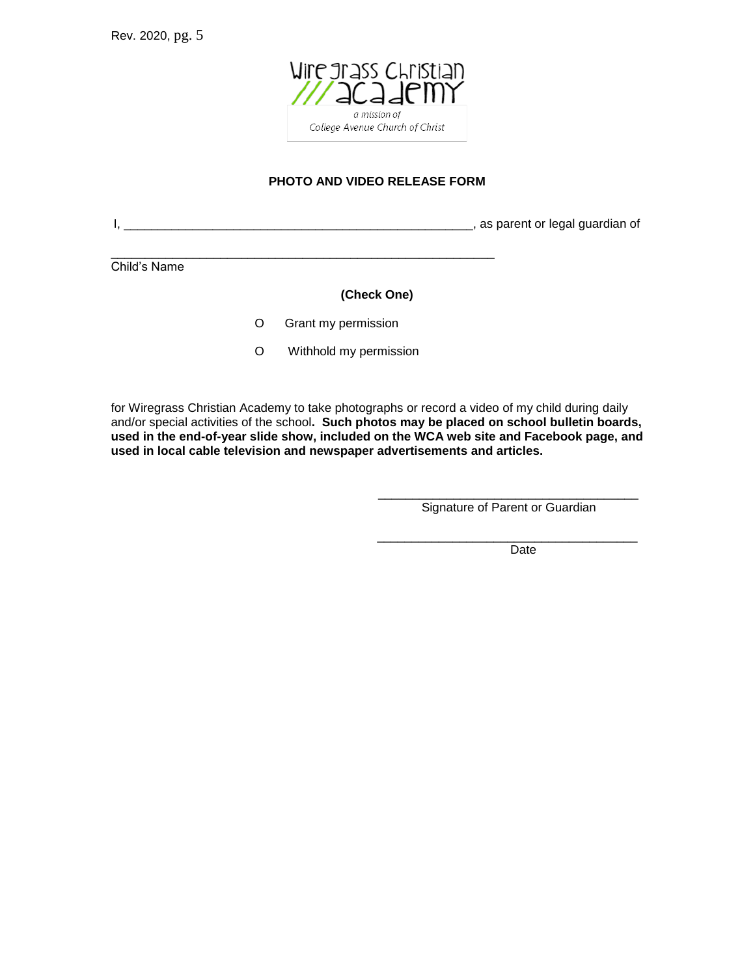

### **PHOTO AND VIDEO RELEASE FORM**

I, \_\_\_\_\_\_\_\_\_\_\_\_\_\_\_\_\_\_\_\_\_\_\_\_\_\_\_\_\_\_\_\_\_\_\_\_\_\_\_\_\_\_\_\_\_\_\_\_\_\_\_, as parent or legal guardian of

Child's Name

#### **(Check One)**

O Grant my permission

\_\_\_\_\_\_\_\_\_\_\_\_\_\_\_\_\_\_\_\_\_\_\_\_\_\_\_\_\_\_\_\_\_\_\_\_\_\_\_\_\_\_\_\_\_\_\_\_\_\_\_\_\_\_\_\_

O Withhold my permission

for Wiregrass Christian Academy to take photographs or record a video of my child during daily and/or special activities of the school**. Such photos may be placed on school bulletin boards, used in the end-of-year slide show, included on the WCA web site and Facebook page, and used in local cable television and newspaper advertisements and articles.**

 $\frac{1}{\sqrt{2}}$  ,  $\frac{1}{\sqrt{2}}$  ,  $\frac{1}{\sqrt{2}}$  ,  $\frac{1}{\sqrt{2}}$  ,  $\frac{1}{\sqrt{2}}$  ,  $\frac{1}{\sqrt{2}}$  ,  $\frac{1}{\sqrt{2}}$  ,  $\frac{1}{\sqrt{2}}$  ,  $\frac{1}{\sqrt{2}}$  ,  $\frac{1}{\sqrt{2}}$  ,  $\frac{1}{\sqrt{2}}$  ,  $\frac{1}{\sqrt{2}}$  ,  $\frac{1}{\sqrt{2}}$  ,  $\frac{1}{\sqrt{2}}$  ,  $\frac{1}{\sqrt{2}}$ 

Signature of Parent or Guardian

\_\_\_\_\_\_\_\_\_\_\_\_\_\_\_\_\_\_\_\_\_\_\_\_\_\_\_\_\_\_\_\_\_\_\_\_\_\_

Date